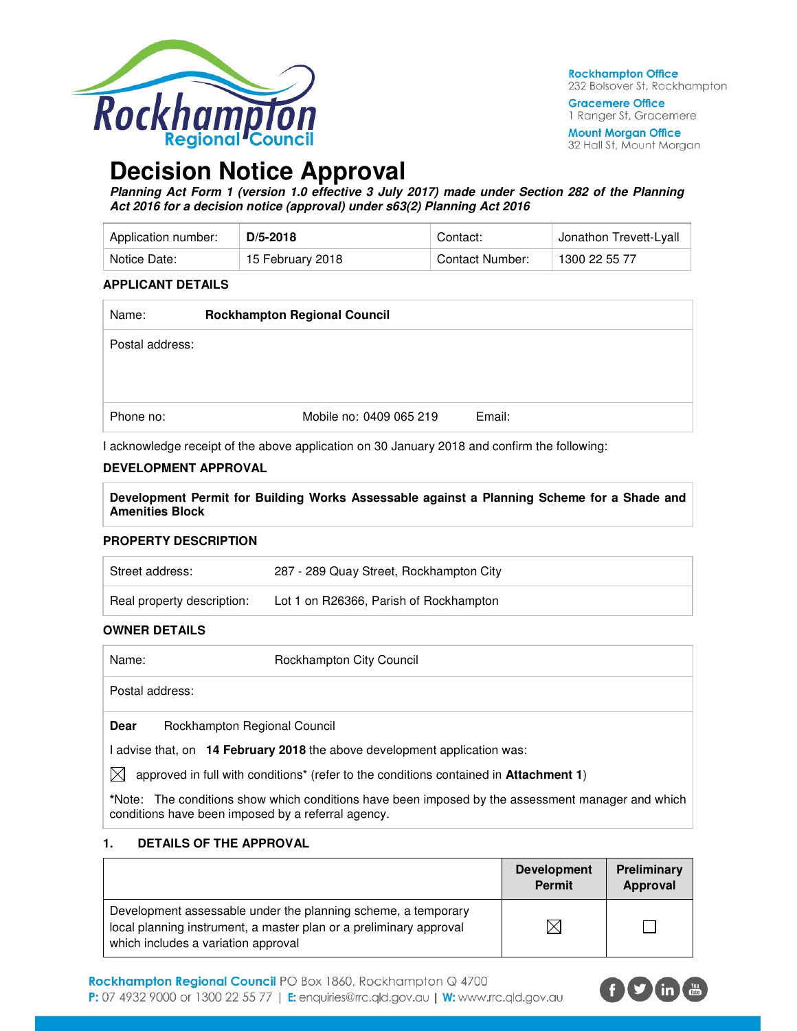

**Rockhampton Office** 232 Bolsover St, Rockhampton

**Gracemere Office** 1 Ranger St, Gracemere

**Mount Morgan Office** 32 Hall St, Mount Morgan

# **Decision Notice Approval**

**Planning Act Form 1 (version 1.0 effective 3 July 2017) made under Section 282 of the Planning Act 2016 for a decision notice (approval) under s63(2) Planning Act 2016** 

| Application number: | $D/5 - 2018$       | Contact:        | Jonathon Trevett-Lyall |  |
|---------------------|--------------------|-----------------|------------------------|--|
| Notice Date:        | , 15 February 2018 | Contact Number: | 1300 22 55 77          |  |

#### **APPLICANT DETAILS**

| <b>Rockhampton Regional Council</b> |        |  |  |
|-------------------------------------|--------|--|--|
|                                     |        |  |  |
|                                     |        |  |  |
|                                     |        |  |  |
| Mobile no: 0409 065 219             | Email: |  |  |
|                                     |        |  |  |

I acknowledge receipt of the above application on 30 January 2018 and confirm the following:

#### **DEVELOPMENT APPROVAL**

**Development Permit for Building Works Assessable against a Planning Scheme for a Shade and Amenities Block** 

#### **PROPERTY DESCRIPTION**

| Street address:            | 287 - 289 Quay Street, Rockhampton City |
|----------------------------|-----------------------------------------|
| Real property description: | Lot 1 on R26366, Parish of Rockhampton  |

#### **OWNER DETAILS**

| Name:           |                              | Rockhampton City Council |
|-----------------|------------------------------|--------------------------|
| Postal address: |                              |                          |
| <b>Dear</b>     | Rockhampton Regional Council |                          |

I advise that, on **14 February 2018** the above development application was:

 $\boxtimes$  approved in full with conditions<sup>\*</sup> (refer to the conditions contained in **Attachment 1**)

**\***Note:The conditions show which conditions have been imposed by the assessment manager and which conditions have been imposed by a referral agency.

#### **1. DETAILS OF THE APPROVAL**

|                                                                                                                                                                            | <b>Development</b><br><b>Permit</b> | Preliminary<br>Approval |
|----------------------------------------------------------------------------------------------------------------------------------------------------------------------------|-------------------------------------|-------------------------|
| Development assessable under the planning scheme, a temporary<br>local planning instrument, a master plan or a preliminary approval<br>which includes a variation approval | $\times$ l                          |                         |

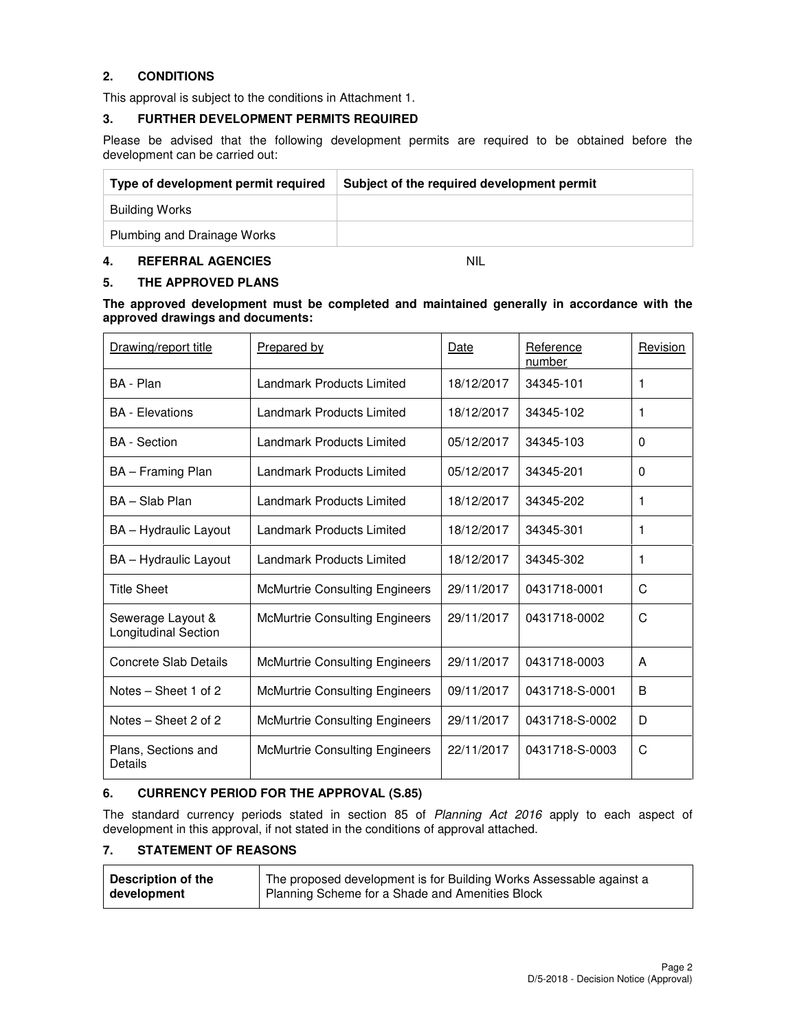#### **2. CONDITIONS**

This approval is subject to the conditions in Attachment 1.

#### **3. FURTHER DEVELOPMENT PERMITS REQUIRED**

Please be advised that the following development permits are required to be obtained before the development can be carried out:

| Type of development permit required | Subject of the required development permit |
|-------------------------------------|--------------------------------------------|
| Building Works                      |                                            |
| Plumbing and Drainage Works         |                                            |

#### **4. REFERRAL AGENCIES** NIL

#### **5. THE APPROVED PLANS**

**The approved development must be completed and maintained generally in accordance with the approved drawings and documents:** 

| Drawing/report title                             | Prepared by                           | Date       |                | Revision |
|--------------------------------------------------|---------------------------------------|------------|----------------|----------|
| BA - Plan                                        | Landmark Products Limited             | 18/12/2017 | 34345-101      | 1        |
| <b>BA</b> - Elevations                           | Landmark Products Limited             | 18/12/2017 | 34345-102      | 1        |
| <b>BA</b> - Section                              | Landmark Products Limited             | 05/12/2017 | 34345-103      | $\Omega$ |
| BA - Framing Plan                                | <b>Landmark Products Limited</b>      | 05/12/2017 | 34345-201      | $\Omega$ |
| BA - Slab Plan                                   | Landmark Products Limited             | 18/12/2017 | 34345-202      | 1        |
| BA - Hydraulic Layout                            | Landmark Products Limited             | 18/12/2017 | 34345-301      | 1        |
| BA - Hydraulic Layout                            | <b>Landmark Products Limited</b>      | 18/12/2017 | 34345-302      | 1        |
| <b>Title Sheet</b>                               | <b>McMurtrie Consulting Engineers</b> | 29/11/2017 | 0431718-0001   | C        |
| Sewerage Layout &<br><b>Longitudinal Section</b> | <b>McMurtrie Consulting Engineers</b> | 29/11/2017 | 0431718-0002   | C        |
| Concrete Slab Details                            | <b>McMurtrie Consulting Engineers</b> | 29/11/2017 | 0431718-0003   | A        |
| Notes - Sheet 1 of 2                             | <b>McMurtrie Consulting Engineers</b> | 09/11/2017 | 0431718-S-0001 | B        |
| Notes – Sheet 2 of 2                             | <b>McMurtrie Consulting Engineers</b> | 29/11/2017 | 0431718-S-0002 | D        |
| Plans, Sections and<br>Details                   | <b>McMurtrie Consulting Engineers</b> | 22/11/2017 | 0431718-S-0003 | C        |

#### **6. CURRENCY PERIOD FOR THE APPROVAL (S.85)**

The standard currency periods stated in section 85 of Planning Act 2016 apply to each aspect of development in this approval, if not stated in the conditions of approval attached.

#### **7. STATEMENT OF REASONS**

| Description of the | The proposed development is for Building Works Assessable against a |
|--------------------|---------------------------------------------------------------------|
| development        | Planning Scheme for a Shade and Amenities Block                     |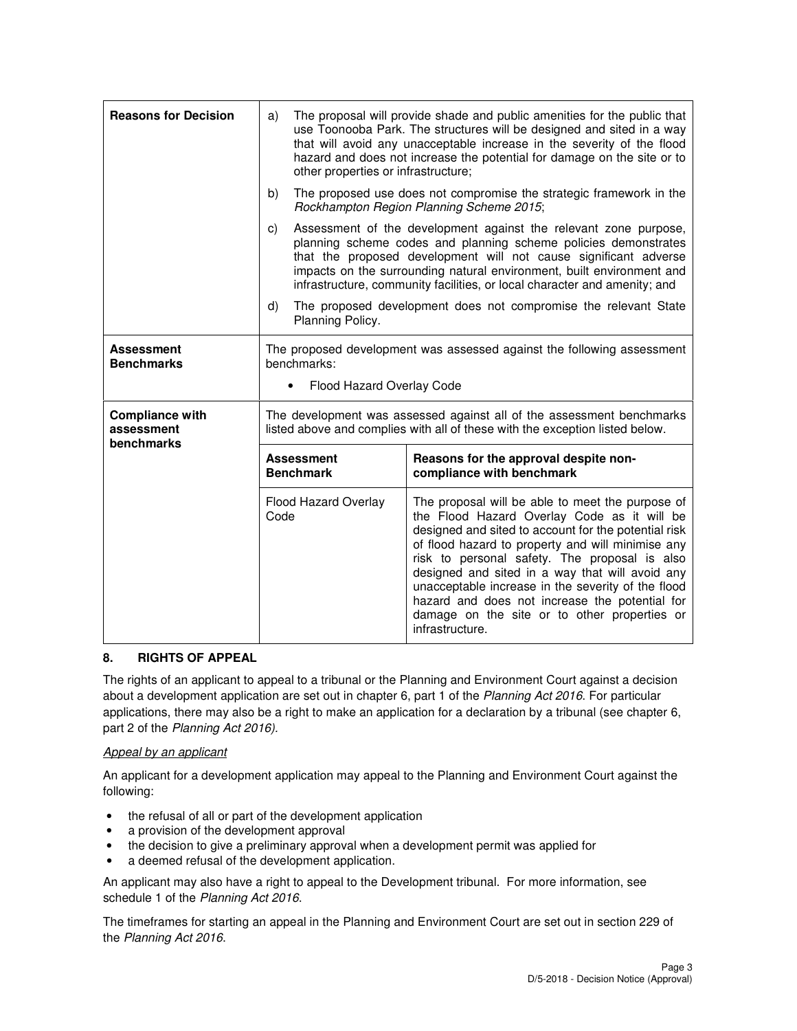| <b>Reasons for Decision</b>            | The proposal will provide shade and public amenities for the public that<br>a)<br>use Toonooba Park. The structures will be designed and sited in a way<br>that will avoid any unacceptable increase in the severity of the flood<br>hazard and does not increase the potential for damage on the site or to<br>other properties or infrastructure; |                                                                                                                                                                                                                                                                                                                                                               |                                                                                                                                                                                                                                                                                                                                                                                                                                                                          |  |  |
|----------------------------------------|-----------------------------------------------------------------------------------------------------------------------------------------------------------------------------------------------------------------------------------------------------------------------------------------------------------------------------------------------------|---------------------------------------------------------------------------------------------------------------------------------------------------------------------------------------------------------------------------------------------------------------------------------------------------------------------------------------------------------------|--------------------------------------------------------------------------------------------------------------------------------------------------------------------------------------------------------------------------------------------------------------------------------------------------------------------------------------------------------------------------------------------------------------------------------------------------------------------------|--|--|
|                                        | b)                                                                                                                                                                                                                                                                                                                                                  | The proposed use does not compromise the strategic framework in the<br>Rockhampton Region Planning Scheme 2015;                                                                                                                                                                                                                                               |                                                                                                                                                                                                                                                                                                                                                                                                                                                                          |  |  |
|                                        | C)                                                                                                                                                                                                                                                                                                                                                  | Assessment of the development against the relevant zone purpose,<br>planning scheme codes and planning scheme policies demonstrates<br>that the proposed development will not cause significant adverse<br>impacts on the surrounding natural environment, built environment and<br>infrastructure, community facilities, or local character and amenity; and |                                                                                                                                                                                                                                                                                                                                                                                                                                                                          |  |  |
|                                        | d)                                                                                                                                                                                                                                                                                                                                                  | Planning Policy.                                                                                                                                                                                                                                                                                                                                              | The proposed development does not compromise the relevant State                                                                                                                                                                                                                                                                                                                                                                                                          |  |  |
| <b>Assessment</b><br><b>Benchmarks</b> | The proposed development was assessed against the following assessment<br>benchmarks:<br>Flood Hazard Overlay Code<br>$\bullet$                                                                                                                                                                                                                     |                                                                                                                                                                                                                                                                                                                                                               |                                                                                                                                                                                                                                                                                                                                                                                                                                                                          |  |  |
| <b>Compliance with</b><br>assessment   | The development was assessed against all of the assessment benchmarks<br>listed above and complies with all of these with the exception listed below.                                                                                                                                                                                               |                                                                                                                                                                                                                                                                                                                                                               |                                                                                                                                                                                                                                                                                                                                                                                                                                                                          |  |  |
| benchmarks                             | <b>Assessment</b><br>Reasons for the approval despite non-<br><b>Benchmark</b><br>compliance with benchmark                                                                                                                                                                                                                                         |                                                                                                                                                                                                                                                                                                                                                               |                                                                                                                                                                                                                                                                                                                                                                                                                                                                          |  |  |
|                                        | Code                                                                                                                                                                                                                                                                                                                                                | Flood Hazard Overlay                                                                                                                                                                                                                                                                                                                                          | The proposal will be able to meet the purpose of<br>the Flood Hazard Overlay Code as it will be<br>designed and sited to account for the potential risk<br>of flood hazard to property and will minimise any<br>risk to personal safety. The proposal is also<br>designed and sited in a way that will avoid any<br>unacceptable increase in the severity of the flood<br>hazard and does not increase the potential for<br>damage on the site or to other properties or |  |  |

## **8. RIGHTS OF APPEAL**

The rights of an applicant to appeal to a tribunal or the Planning and Environment Court against a decision about a development application are set out in chapter 6, part 1 of the Planning Act 2016. For particular applications, there may also be a right to make an application for a declaration by a tribunal (see chapter 6, part 2 of the Planning Act 2016).

#### Appeal by an applicant

An applicant for a development application may appeal to the Planning and Environment Court against the following:

- the refusal of all or part of the development application
- a provision of the development approval
- the decision to give a preliminary approval when a development permit was applied for
- a deemed refusal of the development application.

An applicant may also have a right to appeal to the Development tribunal. For more information, see schedule 1 of the Planning Act 2016.

The timeframes for starting an appeal in the Planning and Environment Court are set out in section 229 of the Planning Act 2016.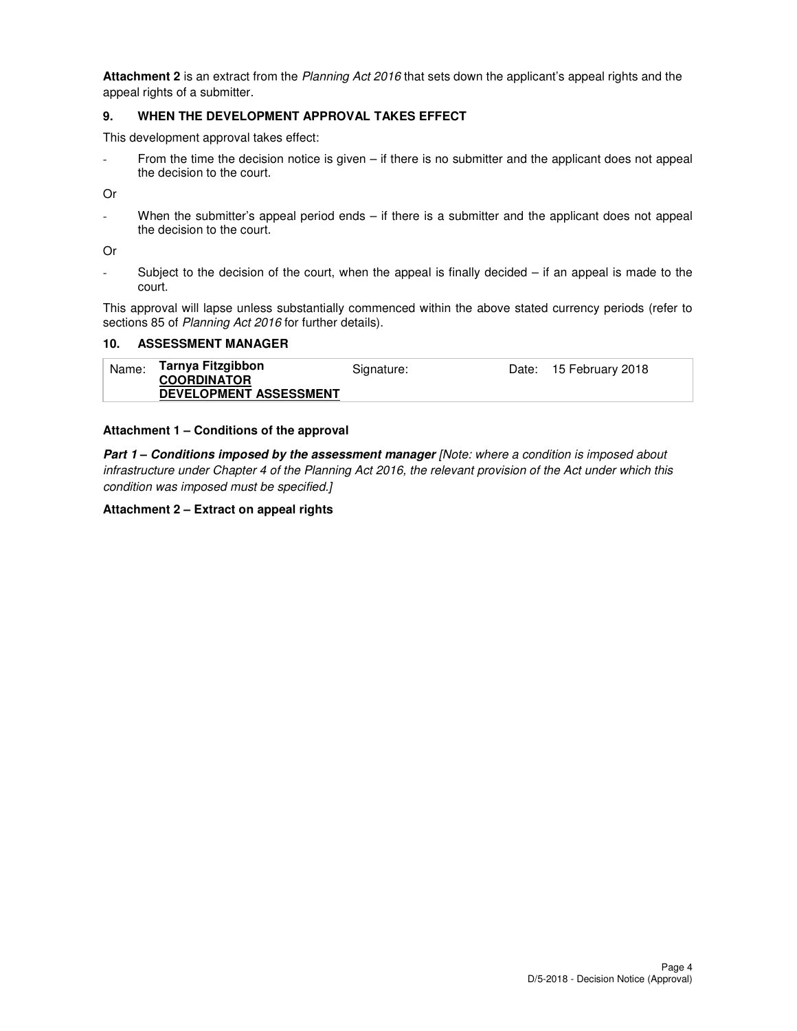**Attachment 2** is an extract from the Planning Act 2016 that sets down the applicant's appeal rights and the appeal rights of a submitter.

#### **9. WHEN THE DEVELOPMENT APPROVAL TAKES EFFECT**

This development approval takes effect:

From the time the decision notice is given – if there is no submitter and the applicant does not appeal the decision to the court.

Or

When the submitter's appeal period ends  $-$  if there is a submitter and the applicant does not appeal the decision to the court.

Or

Subject to the decision of the court, when the appeal is finally decided  $-$  if an appeal is made to the court.

This approval will lapse unless substantially commenced within the above stated currency periods (refer to sections 85 of Planning Act 2016 for further details).

#### **10. ASSESSMENT MANAGER**

| Tarnya Fitzgibbon<br>Name:<br>Signature:            | Date: 15 February 2018 |
|-----------------------------------------------------|------------------------|
| <b>COORDINATOR</b><br><b>DEVELOPMENT ASSESSMENT</b> |                        |

#### **Attachment 1 – Conditions of the approval**

**Part 1 – Conditions imposed by the assessment manager** [Note: where a condition is imposed about infrastructure under Chapter 4 of the Planning Act 2016, the relevant provision of the Act under which this condition was imposed must be specified.]

#### **Attachment 2 – Extract on appeal rights**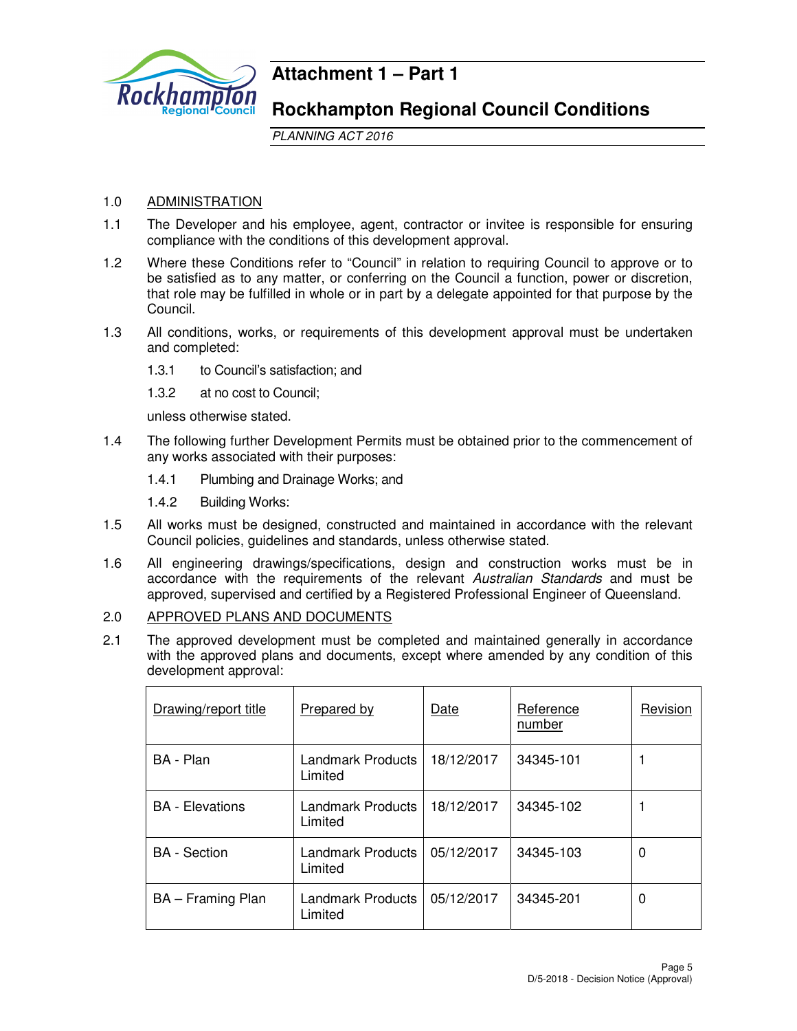

# **Attachment 1 – Part 1**

# **Rockhampton Regional Council Conditions**

PLANNING ACT 2016

# 1.0 ADMINISTRATION

- 1.1 The Developer and his employee, agent, contractor or invitee is responsible for ensuring compliance with the conditions of this development approval.
- 1.2 Where these Conditions refer to "Council" in relation to requiring Council to approve or to be satisfied as to any matter, or conferring on the Council a function, power or discretion, that role may be fulfilled in whole or in part by a delegate appointed for that purpose by the Council.
- 1.3 All conditions, works, or requirements of this development approval must be undertaken and completed:
	- 1.3.1 to Council's satisfaction; and
	- 1.3.2 at no cost to Council;

unless otherwise stated.

- 1.4 The following further Development Permits must be obtained prior to the commencement of any works associated with their purposes:
	- 1.4.1 Plumbing and Drainage Works; and
	- 1.4.2 Building Works:
- 1.5 All works must be designed, constructed and maintained in accordance with the relevant Council policies, guidelines and standards, unless otherwise stated.
- 1.6 All engineering drawings/specifications, design and construction works must be in accordance with the requirements of the relevant Australian Standards and must be approved, supervised and certified by a Registered Professional Engineer of Queensland.

# 2.0 APPROVED PLANS AND DOCUMENTS

2.1 The approved development must be completed and maintained generally in accordance with the approved plans and documents, except where amended by any condition of this development approval:

| Drawing/report title   | <b>Prepared by</b>                  | Date       | Reference<br>number | Revision |
|------------------------|-------------------------------------|------------|---------------------|----------|
| BA - Plan              | Landmark Products<br>Limited        | 18/12/2017 | 34345-101           |          |
| <b>BA</b> - Elevations | <b>Landmark Products</b><br>Limited | 18/12/2017 | 34345-102           |          |
| <b>BA</b> - Section    | Landmark Products<br>Limited        | 05/12/2017 | 34345-103           | 0        |
| BA – Framing Plan      | <b>Landmark Products</b><br>Limited | 05/12/2017 | 34345-201           | 0        |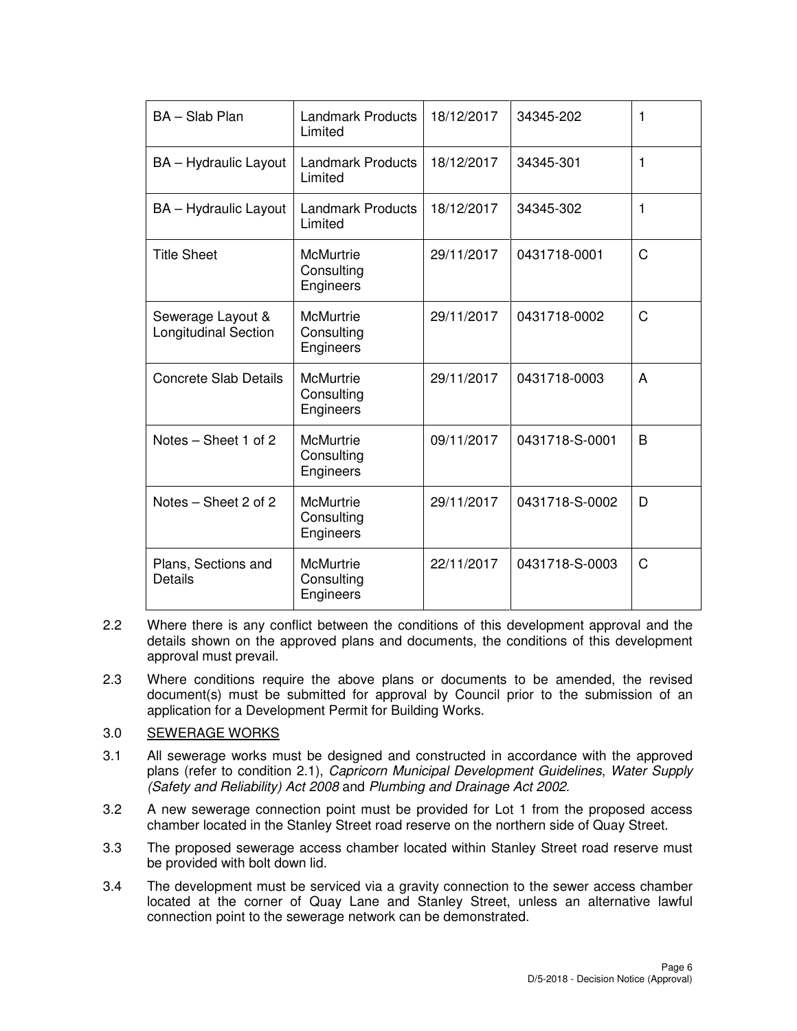| BA - Slab Plan                                   | Landmark Products<br>Limited                | 18/12/2017 | 34345-202      | 1            |
|--------------------------------------------------|---------------------------------------------|------------|----------------|--------------|
| <b>BA</b> – Hydraulic Layout                     | <b>Landmark Products</b><br>Limited         | 18/12/2017 | 34345-301      | 1            |
| <b>BA</b> - Hydraulic Layout                     | <b>Landmark Products</b><br>Limited         | 18/12/2017 | 34345-302      | $\mathbf{1}$ |
| <b>Title Sheet</b>                               | <b>McMurtrie</b><br>Consulting<br>Engineers | 29/11/2017 | 0431718-0001   | C            |
| Sewerage Layout &<br><b>Longitudinal Section</b> | <b>McMurtrie</b><br>Consulting<br>Engineers | 29/11/2017 | 0431718-0002   | C            |
| <b>Concrete Slab Details</b>                     | <b>McMurtrie</b><br>Consulting<br>Engineers | 29/11/2017 | 0431718-0003   | A            |
| Notes – Sheet 1 of 2                             | <b>McMurtrie</b><br>Consulting<br>Engineers | 09/11/2017 | 0431718-S-0001 | B            |
| Notes - Sheet 2 of 2                             | <b>McMurtrie</b><br>Consulting<br>Engineers | 29/11/2017 | 0431718-S-0002 | D            |
| Plans, Sections and<br>Details                   | <b>McMurtrie</b><br>Consulting<br>Engineers | 22/11/2017 | 0431718-S-0003 | C            |

- 2.2 Where there is any conflict between the conditions of this development approval and the details shown on the approved plans and documents, the conditions of this development approval must prevail.
- 2.3 Where conditions require the above plans or documents to be amended, the revised document(s) must be submitted for approval by Council prior to the submission of an application for a Development Permit for Building Works.

## 3.0 SEWERAGE WORKS

- 3.1 All sewerage works must be designed and constructed in accordance with the approved plans (refer to condition 2.1), Capricorn Municipal Development Guidelines, Water Supply (Safety and Reliability) Act 2008 and Plumbing and Drainage Act 2002.
- 3.2 A new sewerage connection point must be provided for Lot 1 from the proposed access chamber located in the Stanley Street road reserve on the northern side of Quay Street.
- 3.3 The proposed sewerage access chamber located within Stanley Street road reserve must be provided with bolt down lid.
- 3.4 The development must be serviced via a gravity connection to the sewer access chamber located at the corner of Quay Lane and Stanley Street, unless an alternative lawful connection point to the sewerage network can be demonstrated.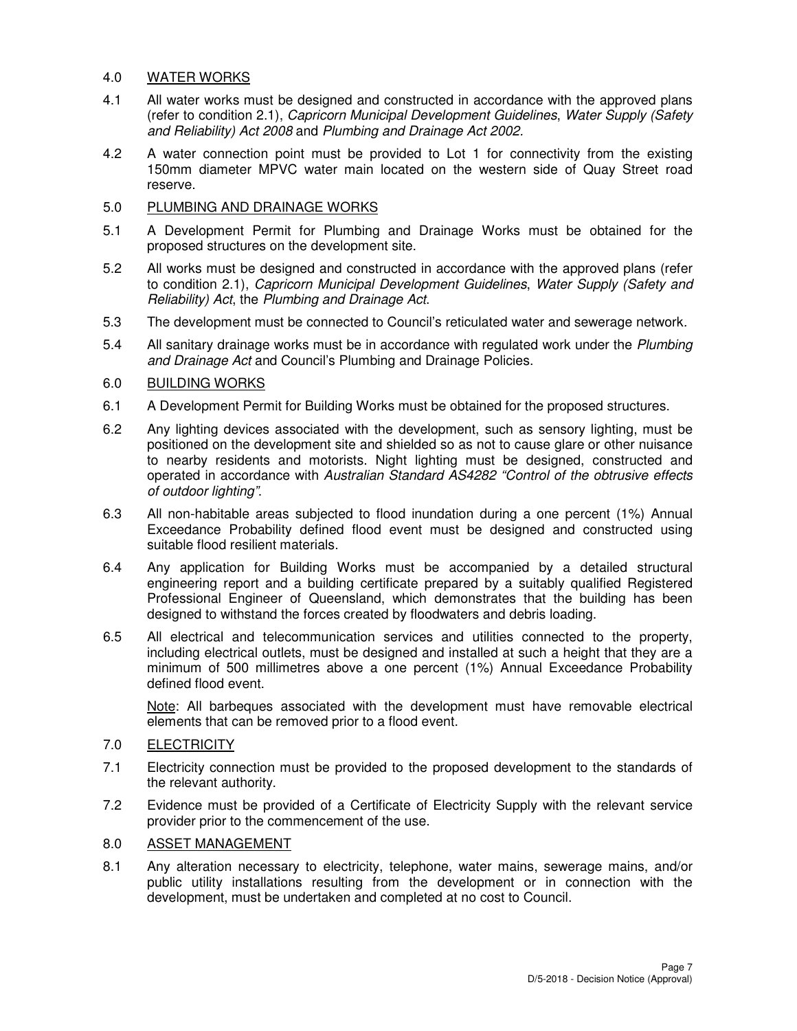#### 4.0 WATER WORKS

- 4.1 All water works must be designed and constructed in accordance with the approved plans (refer to condition 2.1), Capricorn Municipal Development Guidelines, Water Supply (Safety and Reliability) Act 2008 and Plumbing and Drainage Act 2002.
- 4.2 A water connection point must be provided to Lot 1 for connectivity from the existing 150mm diameter MPVC water main located on the western side of Quay Street road reserve.

## 5.0 PLUMBING AND DRAINAGE WORKS

- 5.1 A Development Permit for Plumbing and Drainage Works must be obtained for the proposed structures on the development site.
- 5.2 All works must be designed and constructed in accordance with the approved plans (refer to condition 2.1), Capricorn Municipal Development Guidelines, Water Supply (Safety and Reliability) Act, the Plumbing and Drainage Act.
- 5.3 The development must be connected to Council's reticulated water and sewerage network.
- 5.4 All sanitary drainage works must be in accordance with regulated work under the Plumbing and Drainage Act and Council's Plumbing and Drainage Policies.

## 6.0 BUILDING WORKS

- 6.1 A Development Permit for Building Works must be obtained for the proposed structures.
- 6.2 Any lighting devices associated with the development, such as sensory lighting, must be positioned on the development site and shielded so as not to cause glare or other nuisance to nearby residents and motorists. Night lighting must be designed, constructed and operated in accordance with Australian Standard AS4282 "Control of the obtrusive effects of outdoor lighting".
- 6.3 All non-habitable areas subjected to flood inundation during a one percent (1%) Annual Exceedance Probability defined flood event must be designed and constructed using suitable flood resilient materials.
- 6.4 Any application for Building Works must be accompanied by a detailed structural engineering report and a building certificate prepared by a suitably qualified Registered Professional Engineer of Queensland, which demonstrates that the building has been designed to withstand the forces created by floodwaters and debris loading.
- 6.5 All electrical and telecommunication services and utilities connected to the property, including electrical outlets, must be designed and installed at such a height that they are a minimum of 500 millimetres above a one percent (1%) Annual Exceedance Probability defined flood event.

Note: All barbeques associated with the development must have removable electrical elements that can be removed prior to a flood event.

## 7.0 ELECTRICITY

- 7.1 Electricity connection must be provided to the proposed development to the standards of the relevant authority.
- 7.2 Evidence must be provided of a Certificate of Electricity Supply with the relevant service provider prior to the commencement of the use.

## 8.0 ASSET MANAGEMENT

8.1 Any alteration necessary to electricity, telephone, water mains, sewerage mains, and/or public utility installations resulting from the development or in connection with the development, must be undertaken and completed at no cost to Council.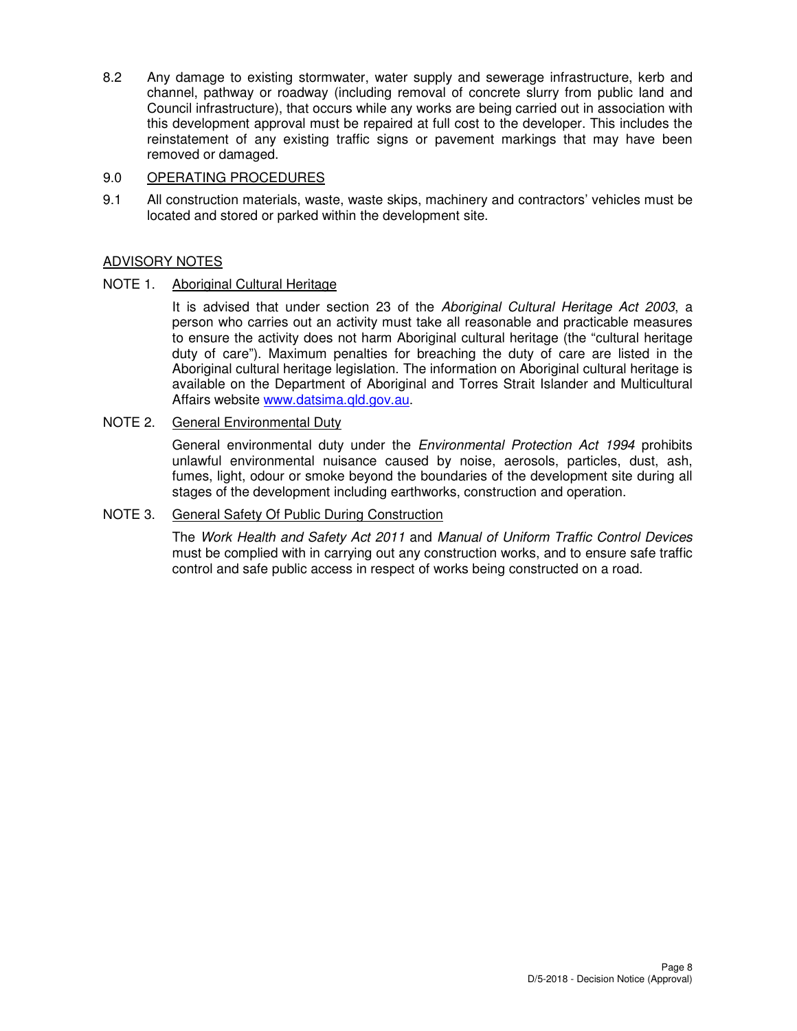8.2 Any damage to existing stormwater, water supply and sewerage infrastructure, kerb and channel, pathway or roadway (including removal of concrete slurry from public land and Council infrastructure), that occurs while any works are being carried out in association with this development approval must be repaired at full cost to the developer. This includes the reinstatement of any existing traffic signs or pavement markings that may have been removed or damaged.

# 9.0 OPERATING PROCEDURES

9.1 All construction materials, waste, waste skips, machinery and contractors' vehicles must be located and stored or parked within the development site.

# ADVISORY NOTES

## NOTE 1. Aboriginal Cultural Heritage

It is advised that under section 23 of the Aboriginal Cultural Heritage Act 2003, a person who carries out an activity must take all reasonable and practicable measures to ensure the activity does not harm Aboriginal cultural heritage (the "cultural heritage duty of care"). Maximum penalties for breaching the duty of care are listed in the Aboriginal cultural heritage legislation. The information on Aboriginal cultural heritage is available on the Department of Aboriginal and Torres Strait Islander and Multicultural Affairs website www.datsima.qld.gov.au.

## NOTE 2. General Environmental Duty

General environmental duty under the *Environmental Protection Act 1994* prohibits unlawful environmental nuisance caused by noise, aerosols, particles, dust, ash, fumes, light, odour or smoke beyond the boundaries of the development site during all stages of the development including earthworks, construction and operation.

#### NOTE 3. General Safety Of Public During Construction

The Work Health and Safety Act 2011 and Manual of Uniform Traffic Control Devices must be complied with in carrying out any construction works, and to ensure safe traffic control and safe public access in respect of works being constructed on a road.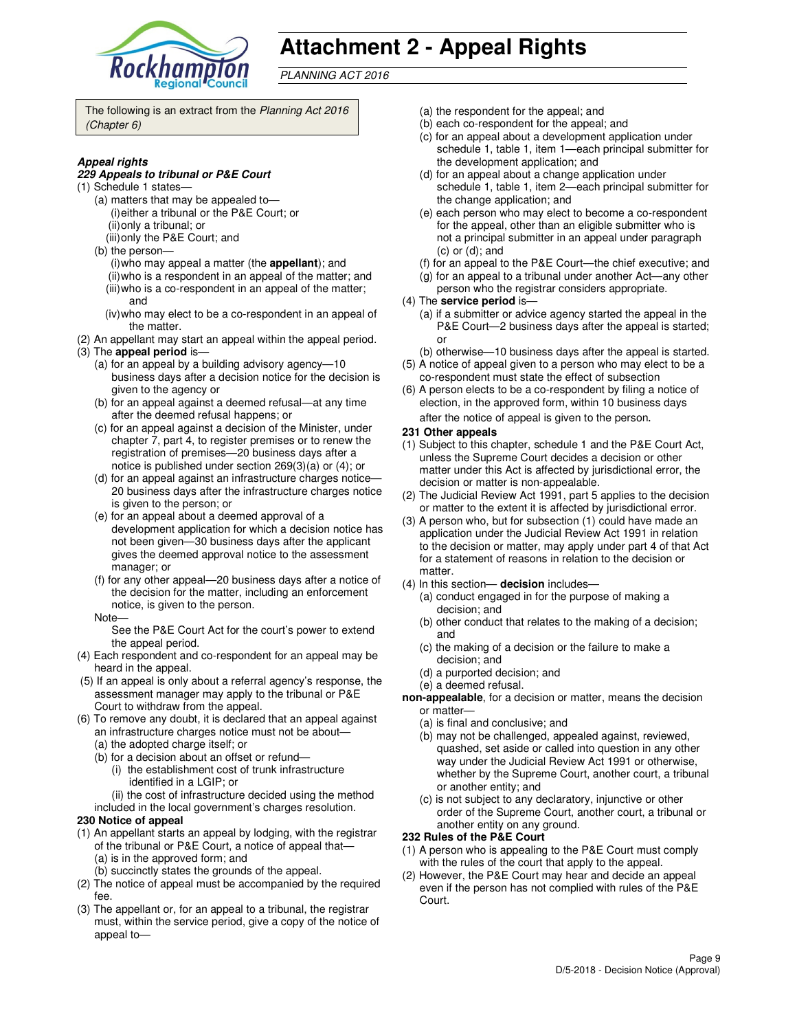

# **Attachment 2 - Appeal Rights**

PLANNING ACT 2016

The following is an extract from the Planning Act 2016 (Chapter 6)

#### **Appeal rights**

#### **229 Appeals to tribunal or P&E Court**

- (1) Schedule 1 states—
	- (a) matters that may be appealed to— (i) either a tribunal or the P&E Court; or (ii) only a tribunal; or
	- (iii) only the P&E Court; and
	- (b) the person—
		- (i) who may appeal a matter (the **appellant**); and (ii) who is a respondent in an appeal of the matter; and (iii) who is a co-respondent in an appeal of the matter;
		- and (iv) who may elect to be a co-respondent in an appeal of
	- the matter.
- (2) An appellant may start an appeal within the appeal period. (3) The **appeal period** is—
	- (a) for an appeal by a building advisory agency—10 business days after a decision notice for the decision is given to the agency or
	- (b) for an appeal against a deemed refusal—at any time after the deemed refusal happens; or
	- (c) for an appeal against a decision of the Minister, under chapter 7, part 4, to register premises or to renew the registration of premises—20 business days after a notice is published under section 269(3)(a) or (4); or
	- (d) for an appeal against an infrastructure charges notice— 20 business days after the infrastructure charges notice is given to the person; or
	- (e) for an appeal about a deemed approval of a development application for which a decision notice has not been given—30 business days after the applicant gives the deemed approval notice to the assessment manager; or
	- (f) for any other appeal—20 business days after a notice of the decision for the matter, including an enforcement notice, is given to the person.
	- Note—

See the P&E Court Act for the court's power to extend the appeal period.

- (4) Each respondent and co-respondent for an appeal may be heard in the appeal.
- (5) If an appeal is only about a referral agency's response, the assessment manager may apply to the tribunal or P&E Court to withdraw from the appeal.
- (6) To remove any doubt, it is declared that an appeal against an infrastructure charges notice must not be about—
	- (a) the adopted charge itself; or
	- (b) for a decision about an offset or refund—
		- (i) the establishment cost of trunk infrastructure identified in a LGIP; or
		- (ii) the cost of infrastructure decided using the method
	- included in the local government's charges resolution.

#### **230 Notice of appeal**

- (1) An appellant starts an appeal by lodging, with the registrar of the tribunal or P&E Court, a notice of appeal that— (a) is in the approved form; and
	- (b) succinctly states the grounds of the appeal.
- (2) The notice of appeal must be accompanied by the required fee.
- (3) The appellant or, for an appeal to a tribunal, the registrar must, within the service period, give a copy of the notice of appeal to—
- (a) the respondent for the appeal; and
- (b) each co-respondent for the appeal; and
- (c) for an appeal about a development application under schedule 1, table 1, item 1—each principal submitter for the development application; and
- (d) for an appeal about a change application under schedule 1, table 1, item 2—each principal submitter for the change application; and
- (e) each person who may elect to become a co-respondent for the appeal, other than an eligible submitter who is not a principal submitter in an appeal under paragraph (c) or (d); and
- (f) for an appeal to the P&E Court—the chief executive; and
- (g) for an appeal to a tribunal under another Act—any other
- person who the registrar considers appropriate.
- (4) The **service period** is—
	- (a) if a submitter or advice agency started the appeal in the P&E Court—2 business days after the appeal is started; or
- (b) otherwise—10 business days after the appeal is started. (5) A notice of appeal given to a person who may elect to be a
- co-respondent must state the effect of subsection (6) A person elects to be a co-respondent by filing a notice of
- election, in the approved form, within 10 business days after the notice of appeal is given to the person*.*
- **231 Other appeals**
- (1) Subject to this chapter, schedule 1 and the P&E Court Act, unless the Supreme Court decides a decision or other matter under this Act is affected by jurisdictional error, the decision or matter is non-appealable.
- (2) The Judicial Review Act 1991, part 5 applies to the decision or matter to the extent it is affected by jurisdictional error.
- (3) A person who, but for subsection (1) could have made an application under the Judicial Review Act 1991 in relation to the decision or matter, may apply under part 4 of that Act for a statement of reasons in relation to the decision or matter.
- (4) In this section— **decision** includes—
	- (a) conduct engaged in for the purpose of making a decision; and
	- (b) other conduct that relates to the making of a decision; and
	- (c) the making of a decision or the failure to make a decision; and
	- (d) a purported decision; and
	- (e) a deemed refusal.
- **non-appealable**, for a decision or matter, means the decision or matter—
	- (a) is final and conclusive; and
	- (b) may not be challenged, appealed against, reviewed, quashed, set aside or called into question in any other way under the Judicial Review Act 1991 or otherwise, whether by the Supreme Court, another court, a tribunal or another entity; and
	- (c) is not subject to any declaratory, injunctive or other order of the Supreme Court, another court, a tribunal or another entity on any ground.

#### **232 Rules of the P&E Court**

- (1) A person who is appealing to the P&E Court must comply with the rules of the court that apply to the appeal.
- (2) However, the P&E Court may hear and decide an appeal even if the person has not complied with rules of the P&E Court.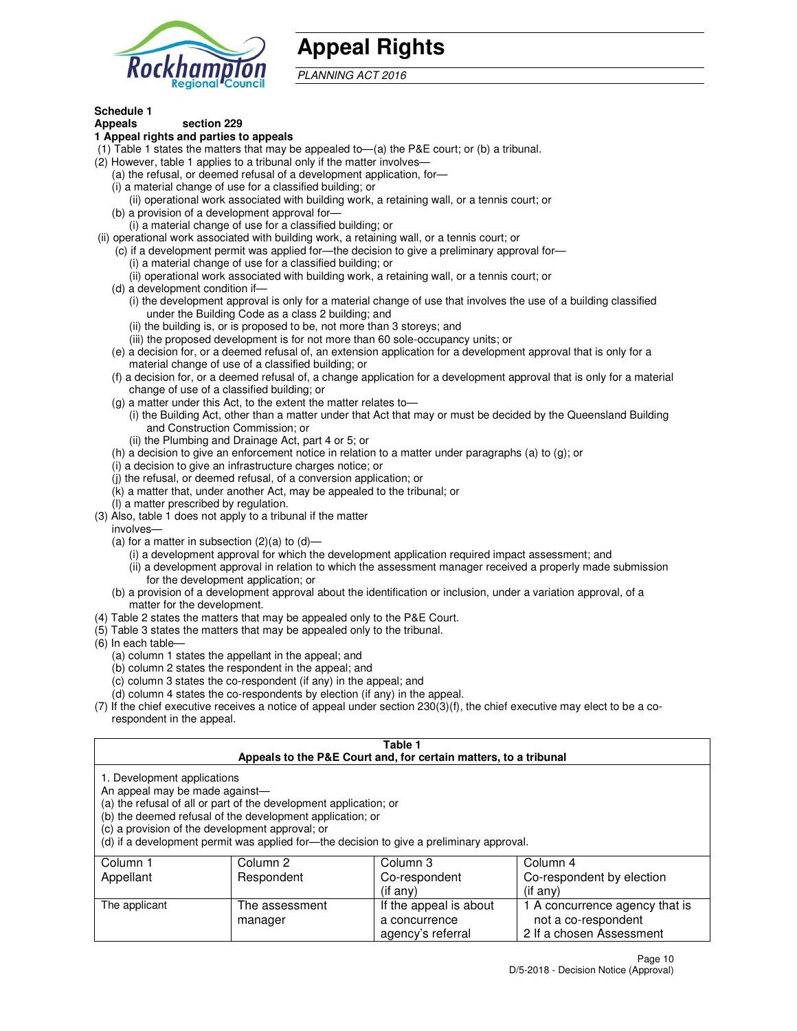

# **Appeal Rights**

PLANNING ACT 2016

#### **Schedule 1 Appeals section 229**

#### **1 Appeal rights and parties to appeals**

- (1) Table 1 states the matters that may be appealed to—(a) the P&E court; or (b) a tribunal.
- (2) However, table 1 applies to a tribunal only if the matter involves—
	- (a) the refusal, or deemed refusal of a development application, for—
	- (i) a material change of use for a classified building; or
	- (ii) operational work associated with building work, a retaining wall, or a tennis court; or (b) a provision of a development approval for—
	- (i) a material change of use for a classified building; or
- (ii) operational work associated with building work, a retaining wall, or a tennis court; or
	- (c) if a development permit was applied for—the decision to give a preliminary approval for—
		- (i) a material change of use for a classified building; or
		- (ii) operational work associated with building work, a retaining wall, or a tennis court; or
	- (d) a development condition if—
		- (i) the development approval is only for a material change of use that involves the use of a building classified under the Building Code as a class 2 building; and
		- (ii) the building is, or is proposed to be, not more than 3 storeys; and
		- (iii) the proposed development is for not more than 60 sole-occupancy units; or
	- (e) a decision for, or a deemed refusal of, an extension application for a development approval that is only for a material change of use of a classified building; or
	- (f) a decision for, or a deemed refusal of, a change application for a development approval that is only for a material change of use of a classified building; or
	- (g) a matter under this Act, to the extent the matter relates to—
		- (i) the Building Act, other than a matter under that Act that may or must be decided by the Queensland Building and Construction Commission; or
		- (ii) the Plumbing and Drainage Act, part 4 or 5; or
	- (h) a decision to give an enforcement notice in relation to a matter under paragraphs (a) to (g); or
	- (i) a decision to give an infrastructure charges notice; or
	- (j) the refusal, or deemed refusal, of a conversion application; or
	- (k) a matter that, under another Act, may be appealed to the tribunal; or
	- (l) a matter prescribed by regulation.
- (3) Also, table 1 does not apply to a tribunal if the matter
- involves—
	- (a) for a matter in subsection  $(2)(a)$  to  $(d)$ 
		- (i) a development approval for which the development application required impact assessment; and
		- (ii) a development approval in relation to which the assessment manager received a properly made submission for the development application; or
	- (b) a provision of a development approval about the identification or inclusion, under a variation approval, of a matter for the development.
- (4) Table 2 states the matters that may be appealed only to the P&E Court.
- (5) Table 3 states the matters that may be appealed only to the tribunal.
- (6) In each table—
	- (a) column 1 states the appellant in the appeal; and
	- (b) column 2 states the respondent in the appeal; and
	- (c) column 3 states the co-respondent (if any) in the appeal; and
	- (d) column 4 states the co-respondents by election (if any) in the appeal.
- (7) If the chief executive receives a notice of appeal under section 230(3)(f), the chief executive may elect to be a corespondent in the appeal.

#### **Table 1 Appeals to the P&E Court and, for certain matters, to a tribunal**

| 1. Development applications |
|-----------------------------|
|                             |

An appeal may be made against—

(a) the refusal of all or part of the development application; or

(b) the deemed refusal of the development application; or

(c) a provision of the development approval; or

(d) if a development permit was applied for—the decision to give a preliminary approval.

| Column 1      | Column 2       | Column 3               | Column 4                       |
|---------------|----------------|------------------------|--------------------------------|
| Appellant     | Respondent     | Co-respondent          | Co-respondent by election      |
|               |                | $($ if any $)$         | $($ if any $)$                 |
| The applicant | The assessment | If the appeal is about | 1 A concurrence agency that is |
|               | manager        | a concurrence          | not a co-respondent            |
|               |                | agency's referral      | 2 If a chosen Assessment       |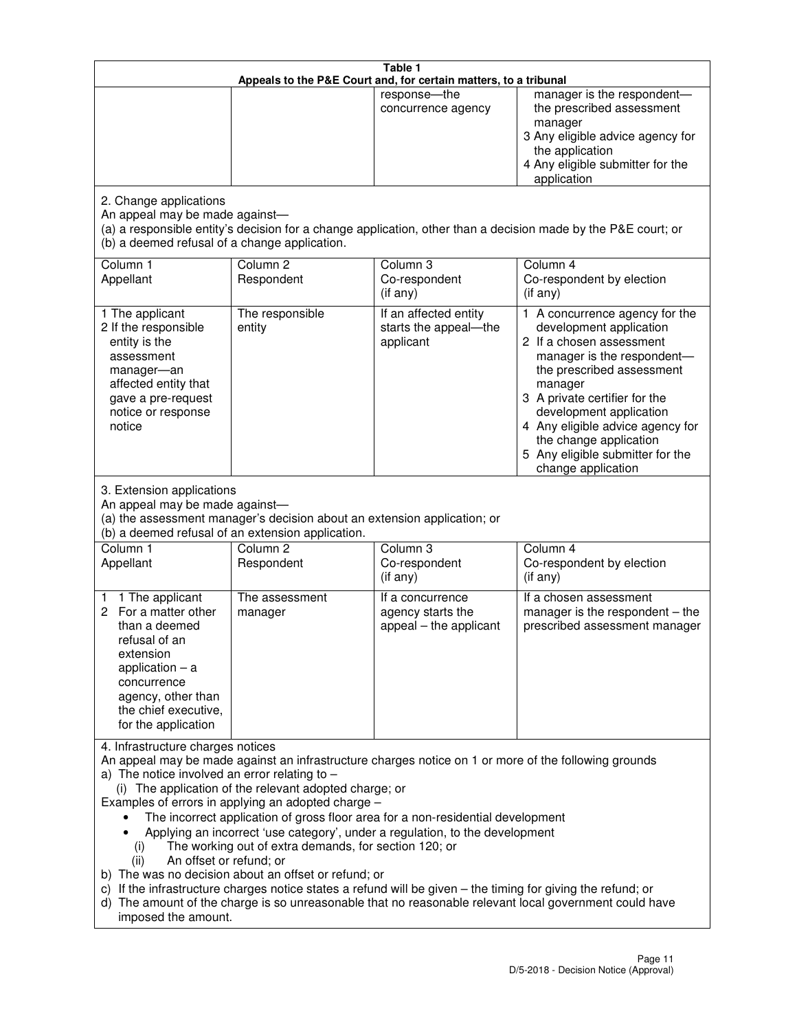|                                                                                                                                                                                                      |                                                                                                                                                                                                                               | Table 1<br>Appeals to the P&E Court and, for certain matters, to a tribunal                                                                                                                                                                                                     |                                                                                                                                                                                                                                                                                                                                                 |
|------------------------------------------------------------------------------------------------------------------------------------------------------------------------------------------------------|-------------------------------------------------------------------------------------------------------------------------------------------------------------------------------------------------------------------------------|---------------------------------------------------------------------------------------------------------------------------------------------------------------------------------------------------------------------------------------------------------------------------------|-------------------------------------------------------------------------------------------------------------------------------------------------------------------------------------------------------------------------------------------------------------------------------------------------------------------------------------------------|
|                                                                                                                                                                                                      |                                                                                                                                                                                                                               | response-the<br>concurrence agency                                                                                                                                                                                                                                              | manager is the respondent-<br>the prescribed assessment<br>manager<br>3 Any eligible advice agency for<br>the application<br>4 Any eligible submitter for the<br>application                                                                                                                                                                    |
| 2. Change applications<br>An appeal may be made against-<br>(b) a deemed refusal of a change application.                                                                                            |                                                                                                                                                                                                                               |                                                                                                                                                                                                                                                                                 | (a) a responsible entity's decision for a change application, other than a decision made by the P&E court; or                                                                                                                                                                                                                                   |
| Column 1<br>Appellant                                                                                                                                                                                | Column <sub>2</sub><br>Respondent                                                                                                                                                                                             | Column 3<br>Co-respondent<br>(if any)                                                                                                                                                                                                                                           | Column 4<br>Co-respondent by election<br>(if any)                                                                                                                                                                                                                                                                                               |
| 1 The applicant<br>2 If the responsible<br>entity is the<br>assessment<br>manager-an<br>affected entity that<br>gave a pre-request<br>notice or response<br>notice                                   | The responsible<br>entity                                                                                                                                                                                                     | If an affected entity<br>starts the appeal-the<br>applicant                                                                                                                                                                                                                     | 1 A concurrence agency for the<br>development application<br>2 If a chosen assessment<br>manager is the respondent-<br>the prescribed assessment<br>manager<br>3 A private certifier for the<br>development application<br>4 Any eligible advice agency for<br>the change application<br>5 Any eligible submitter for the<br>change application |
| 3. Extension applications<br>An appeal may be made against-<br>Column 1<br>Appellant                                                                                                                 | (a) the assessment manager's decision about an extension application; or<br>(b) a deemed refusal of an extension application.<br>Column <sub>2</sub><br>Respondent                                                            | Column 3<br>Co-respondent                                                                                                                                                                                                                                                       | Column 4<br>Co-respondent by election                                                                                                                                                                                                                                                                                                           |
| 1 The applicant<br>1<br>2 For a matter other<br>than a deemed<br>refusal of an<br>extension<br>application $-$ a<br>concurrence<br>agency, other than<br>the chief executive,<br>for the application | The assessment<br>manager                                                                                                                                                                                                     | (if any)<br>If a concurrence<br>agency starts the<br>appeal - the applicant                                                                                                                                                                                                     | (if any)<br>If a chosen assessment<br>manager is the respondent $-$ the<br>prescribed assessment manager                                                                                                                                                                                                                                        |
| 4. Infrastructure charges notices<br>a) The notice involved an error relating to $-$<br>(i)<br>An offset or refund; or<br>(ii)<br>imposed the amount.                                                | (i) The application of the relevant adopted charge; or<br>Examples of errors in applying an adopted charge -<br>The working out of extra demands, for section 120; or<br>b) The was no decision about an offset or refund; or | The incorrect application of gross floor area for a non-residential development<br>Applying an incorrect 'use category', under a regulation, to the development<br>c) If the infrastructure charges notice states a refund will be given - the timing for giving the refund; or | An appeal may be made against an infrastructure charges notice on 1 or more of the following grounds<br>d) The amount of the charge is so unreasonable that no reasonable relevant local government could have                                                                                                                                  |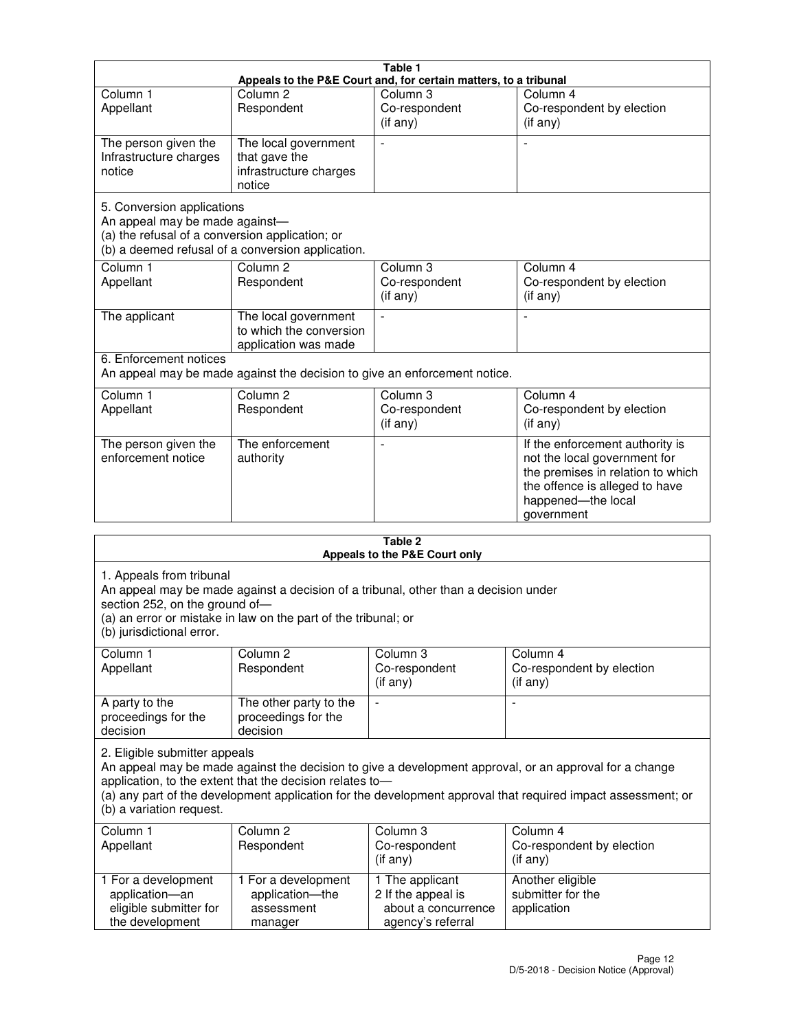|                                                                                                                 |                                                                           | Table 1                                                          |                                                                                                                                                                            |
|-----------------------------------------------------------------------------------------------------------------|---------------------------------------------------------------------------|------------------------------------------------------------------|----------------------------------------------------------------------------------------------------------------------------------------------------------------------------|
|                                                                                                                 |                                                                           | Appeals to the P&E Court and, for certain matters, to a tribunal |                                                                                                                                                                            |
| Column <sub>1</sub><br>Appellant                                                                                | Column <sub>2</sub><br>Respondent                                         | Column 3<br>Co-respondent<br>(if any)                            | Column 4<br>Co-respondent by election<br>(if any)                                                                                                                          |
| The person given the<br>Infrastructure charges<br>notice                                                        | The local government<br>that gave the<br>infrastructure charges<br>notice |                                                                  |                                                                                                                                                                            |
| 5. Conversion applications<br>An appeal may be made against-<br>(a) the refusal of a conversion application; or | (b) a deemed refusal of a conversion application.                         |                                                                  |                                                                                                                                                                            |
| Column <sub>1</sub><br>Appellant                                                                                | Column <sub>2</sub><br>Respondent                                         | Column 3<br>Co-respondent<br>(if any)                            | Column 4<br>Co-respondent by election<br>(if any)                                                                                                                          |
| The applicant                                                                                                   | The local government<br>to which the conversion<br>application was made   |                                                                  |                                                                                                                                                                            |
| 6. Enforcement notices                                                                                          | An appeal may be made against the decision to give an enforcement notice. |                                                                  |                                                                                                                                                                            |
| Column 1<br>Appellant                                                                                           | Column <sub>2</sub><br>Respondent                                         | Column 3<br>Co-respondent<br>(if any)                            | Column 4<br>Co-respondent by election<br>(if any)                                                                                                                          |
| The person given the<br>enforcement notice                                                                      | The enforcement<br>authority                                              |                                                                  | If the enforcement authority is<br>not the local government for<br>the premises in relation to which<br>the offence is alleged to have<br>happened-the local<br>government |
|                                                                                                                 |                                                                           | 2 Tahle                                                          |                                                                                                                                                                            |

| Table 2<br>Appeals to the P&E Court only                                                |                                                                                                                                                       |                                                                                   |                                                                                                                                                                                                                        |
|-----------------------------------------------------------------------------------------|-------------------------------------------------------------------------------------------------------------------------------------------------------|-----------------------------------------------------------------------------------|------------------------------------------------------------------------------------------------------------------------------------------------------------------------------------------------------------------------|
| 1. Appeals from tribunal<br>section 252, on the ground of-<br>(b) jurisdictional error. | An appeal may be made against a decision of a tribunal, other than a decision under<br>(a) an error or mistake in law on the part of the tribunal; or |                                                                                   |                                                                                                                                                                                                                        |
| Column <sub>1</sub><br>Appellant                                                        | Column <sub>2</sub><br>Respondent                                                                                                                     | Column 3<br>Co-respondent<br>(if any)                                             | Column <sub>4</sub><br>Co-respondent by election<br>(if any)                                                                                                                                                           |
| A party to the<br>proceedings for the<br>decision                                       | The other party to the<br>proceedings for the<br>decision                                                                                             | $\blacksquare$                                                                    |                                                                                                                                                                                                                        |
| 2. Eligible submitter appeals<br>(b) a variation request.                               | application, to the extent that the decision relates to-                                                                                              |                                                                                   | An appeal may be made against the decision to give a development approval, or an approval for a change<br>(a) any part of the development application for the development approval that required impact assessment; or |
| Column 1<br>Appellant                                                                   | Column <sub>2</sub><br>Respondent                                                                                                                     | Column <sub>3</sub><br>Co-respondent<br>(i f any)                                 | Column 4<br>Co-respondent by election<br>(i f any)                                                                                                                                                                     |
| 1 For a development<br>application-an<br>eligible submitter for<br>the development      | 1 For a development<br>application-the<br>assessment<br>manager                                                                                       | 1 The applicant<br>2 If the appeal is<br>about a concurrence<br>agency's referral | Another eligible<br>submitter for the<br>application                                                                                                                                                                   |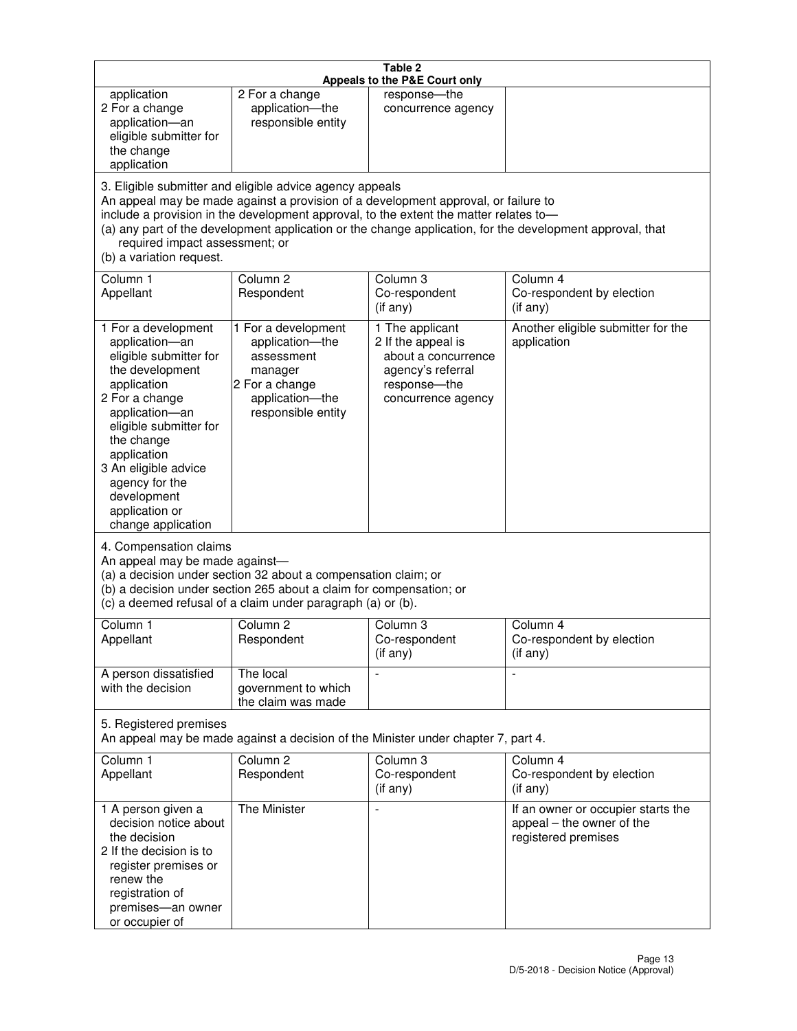| Table 2<br>Appeals to the P&E Court only                                                                                                                                                                                                                                                      |                                                                                                                                                                                                                                         |                                                                                                                         |                                                                                                           |
|-----------------------------------------------------------------------------------------------------------------------------------------------------------------------------------------------------------------------------------------------------------------------------------------------|-----------------------------------------------------------------------------------------------------------------------------------------------------------------------------------------------------------------------------------------|-------------------------------------------------------------------------------------------------------------------------|-----------------------------------------------------------------------------------------------------------|
| application<br>2 For a change<br>application-an<br>eligible submitter for<br>the change<br>application                                                                                                                                                                                        | 2 For a change<br>application-the<br>responsible entity                                                                                                                                                                                 | response-the<br>concurrence agency                                                                                      |                                                                                                           |
| required impact assessment; or<br>(b) a variation request.                                                                                                                                                                                                                                    | 3. Eligible submitter and eligible advice agency appeals<br>An appeal may be made against a provision of a development approval, or failure to<br>include a provision in the development approval, to the extent the matter relates to- |                                                                                                                         | (a) any part of the development application or the change application, for the development approval, that |
| Column 1<br>Appellant                                                                                                                                                                                                                                                                         | Column <sub>2</sub><br>Respondent                                                                                                                                                                                                       | Column <sub>3</sub><br>Co-respondent<br>(if any)                                                                        | Column 4<br>Co-respondent by election<br>(i f any)                                                        |
| 1 For a development<br>application-an<br>eligible submitter for<br>the development<br>application<br>2 For a change<br>application-an<br>eligible submitter for<br>the change<br>application<br>3 An eligible advice<br>agency for the<br>development<br>application or<br>change application | 1 For a development<br>application-the<br>assessment<br>manager<br>2 For a change<br>application-the<br>responsible entity                                                                                                              | 1 The applicant<br>2 If the appeal is<br>about a concurrence<br>agency's referral<br>response-the<br>concurrence agency | Another eligible submitter for the<br>application                                                         |
| 4. Compensation claims<br>An appeal may be made against-<br>(a) a decision under section 32 about a compensation claim; or<br>(b) a decision under section 265 about a claim for compensation; or<br>(c) a deemed refusal of a claim under paragraph (a) or (b).                              |                                                                                                                                                                                                                                         |                                                                                                                         |                                                                                                           |
| Column 1<br>Appellant                                                                                                                                                                                                                                                                         | Column 2<br>Respondent                                                                                                                                                                                                                  | Column 3<br>Co-respondent<br>(if any)                                                                                   | Column 4<br>Co-respondent by election<br>(if any)                                                         |
| A person dissatisfied<br>with the decision                                                                                                                                                                                                                                                    | The local<br>government to which<br>the claim was made                                                                                                                                                                                  |                                                                                                                         | $\blacksquare$                                                                                            |
| 5. Registered premises<br>An appeal may be made against a decision of the Minister under chapter 7, part 4.                                                                                                                                                                                   |                                                                                                                                                                                                                                         |                                                                                                                         |                                                                                                           |
| Column 1<br>Appellant                                                                                                                                                                                                                                                                         | Column <sub>2</sub><br>Respondent                                                                                                                                                                                                       | Column 3<br>Co-respondent<br>(if any)                                                                                   | Column 4<br>Co-respondent by election<br>(if any)                                                         |
| 1 A person given a<br>decision notice about<br>the decision<br>2 If the decision is to<br>register premises or<br>renew the<br>registration of<br>premises-an owner<br>or occupier of                                                                                                         | The Minister                                                                                                                                                                                                                            | $\overline{a}$                                                                                                          | If an owner or occupier starts the<br>appeal - the owner of the<br>registered premises                    |